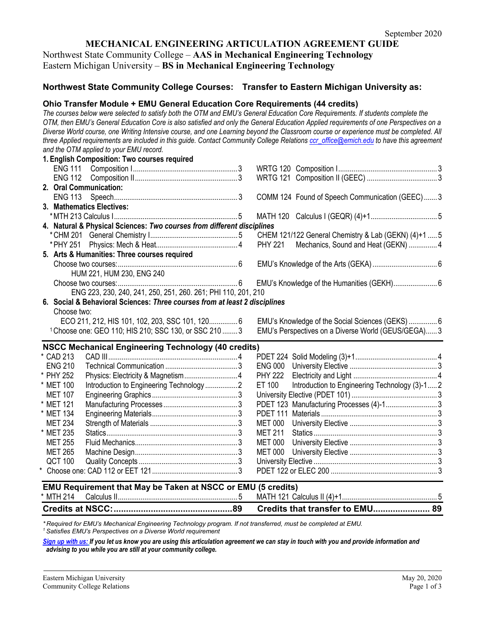# **MECHANICAL ENGINEERING ARTICULATION AGREEMENT GUIDE**

Northwest State Community College – **AAS in Mechanical Engineering Technology** Eastern Michigan University – **BS in Mechanical Engineering Technology**

# **Northwest State Community College Courses: Transfer to Eastern Michigan University as:**

# **Ohio Transfer Module + EMU General Education Core Requirements (44 credits)**

*The courses below were selected to satisfy both the OTM and EMU's General Education Core Requirements. If students complete the OTM, then EMU's General Education Core is also satisfied and only the General Education Applied requirements of one Perspectives on a Diverse World course, one Writing Intensive course, and one Learning beyond the Classroom course or experience must be completed. All three Applied requirements are included in this guide. Contact Community College Relations [ccr\\_office@emich.edu](mailto:ccr_office@emich.edu) to have this agreement and the OTM applied to your EMU record.* **1. English Composition: Two courses required**

|                | <b>1. Lugusu Composition. Two courses required</b>                         |                                                         |
|----------------|----------------------------------------------------------------------------|---------------------------------------------------------|
|                |                                                                            |                                                         |
|                |                                                                            |                                                         |
|                | 2. Oral Communication:                                                     |                                                         |
| <b>ENG 113</b> |                                                                            | COMM 124 Found of Speech Communication (GEEC)  3        |
|                | 3. Mathematics Electives:                                                  |                                                         |
|                |                                                                            | <b>MATH 120</b>                                         |
|                | 4. Natural & Physical Sciences: Two courses from different disciplines     |                                                         |
|                |                                                                            | CHEM 121/122 General Chemistry & Lab (GEKN) (4)+1  5    |
|                |                                                                            | <b>PHY 221</b><br>Mechanics, Sound and Heat (GEKN)  4   |
|                | 5. Arts & Humanities: Three courses required                               |                                                         |
|                |                                                                            |                                                         |
|                | HUM 221, HUM 230, ENG 240                                                  |                                                         |
|                |                                                                            |                                                         |
|                | ENG 223, 230, 240, 241, 250, 251, 260. 261; PHI 110, 201, 210              |                                                         |
|                | 6. Social & Behavioral Sciences: Three courses from at least 2 disciplines |                                                         |
| Choose two:    |                                                                            |                                                         |
|                | ECO 211, 212, HIS 101, 102, 203, SSC 101, 120 6                            |                                                         |
|                | <sup>1</sup> Choose one: GEO 110; HIS 210; SSC 130, or SSC 210  3          | EMU's Perspectives on a Diverse World (GEUS/GEGA) 3     |
|                |                                                                            |                                                         |
|                | <b>NSCC Mechanical Engineering Technology (40 credits)</b>                 |                                                         |
| * CAD 213      |                                                                            |                                                         |
| <b>ENG 210</b> |                                                                            | <b>ENG 000</b>                                          |
| * PHY 252      |                                                                            | <b>PHY 222</b>                                          |
| * MET 100      | Introduction to Engineering Technology2                                    | Introduction to Engineering Technology (3)-12<br>ET 100 |
| <b>MET 107</b> |                                                                            |                                                         |
| * MET 121      |                                                                            | PDET 123 Manufacturing Processes (4)-13                 |
| * MET 134      |                                                                            |                                                         |
| <b>MET 234</b> |                                                                            | <b>MET 000</b>                                          |
| * MET 235      |                                                                            | <b>MET 211</b>                                          |
| <b>MET 255</b> |                                                                            | MET 000                                                 |
| <b>MET 265</b> |                                                                            | MET 000                                                 |
| <b>QCT 100</b> |                                                                            |                                                         |
|                |                                                                            |                                                         |
|                |                                                                            |                                                         |
|                | EMU Requirement that May be Taken at NSCC or EMU (5 credits)               |                                                         |
| * MTH 214      |                                                                            |                                                         |

|  | Credits that transfer to EMU 89 |
|--|---------------------------------|
|--|---------------------------------|

*\* Required for EMU's Mechanical Engineering Technology program. If not transferred, must be completed at EMU. 1 Satisfies EMU's Perspectives on a Diverse World requirement*

*[Sign up with us:](http://www.emich.edu/ccr/articulation-agreements/signup.php) If you let us know you are using this articulation agreement we can stay in touch with you and provide information and advising to you while you are still at your community college.*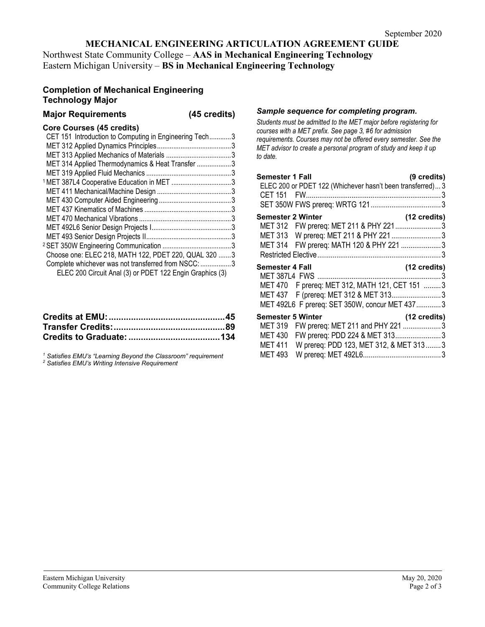# **MECHANICAL ENGINEERING ARTICULATION AGREEMENT GUIDE**

Northwest State Community College – **AAS in Mechanical Engineering Technology** Eastern Michigan University – **BS in Mechanical Engineering Technology**

# **Completion of Mechanical Engineering Technology Major**

# **Major Requirements (45 credits)**

### **Core Courses (45 credits)**

| CET 151 Introduction to Computing in Engineering Tech3   |  |
|----------------------------------------------------------|--|
|                                                          |  |
|                                                          |  |
| MET 314 Applied Thermodynamics & Heat Transfer 3         |  |
|                                                          |  |
|                                                          |  |
|                                                          |  |
|                                                          |  |
|                                                          |  |
|                                                          |  |
|                                                          |  |
|                                                          |  |
|                                                          |  |
| Choose one: ELEC 218, MATH 122, PDET 220, QUAL 320  3    |  |
| Complete whichever was not transferred from NSCC: 3      |  |
| ELEC 200 Circuit Anal (3) or PDET 122 Engin Graphics (3) |  |
|                                                          |  |

*<sup>1</sup> Satisfies EMU's "Learning Beyond the Classroom" requirement <sup>2</sup> Satisfies EMU's Writing Intensive Requirement*

#### *Sample sequence for completing program.*

*Students must be admitted to the MET major before registering for courses with a MET prefix. See page 3, #6 for admission requirements. Courses may not be offered every semester. See the MET advisor to create a personal program of study and keep it up to date.*

| Semester 1 Fall<br>ELEC 200 or PDET 122 (Whichever hasn't been transferred) 3 | (9 credits)  |
|-------------------------------------------------------------------------------|--------------|
| <b>Semester 2 Winter</b>                                                      | (12 credits) |
| MET 312 FW prereq: MET 211 & PHY 2213                                         |              |
| MET 313 W prereq: MET 211 & PHY 221 3                                         |              |
| MET 314 FW prereq: MATH 120 & PHY 221  3                                      |              |
|                                                                               |              |
| <b>Semester 4 Fall</b>                                                        | (12 credits) |
| MET 470 F prereq: MET 312, MATH 121, CET 151 3                                |              |
| MET 437 F (prereq: MET 312 & MET 3133                                         |              |
|                                                                               |              |
| MET 492L6 F prereq: SET 350W, concur MET 4373                                 |              |
| <b>Semester 5 Winter</b>                                                      | (12 credits) |
| FW prereq: MET 211 and PHY 221 3<br>MET 319                                   |              |
| FW prereq: PDD 224 & MET 313 3<br><b>MET 430</b>                              |              |
| W prereq: PDD 123, MET 312, & MET 3133<br><b>MET 411</b>                      |              |
| <b>MET 493</b>                                                                |              |